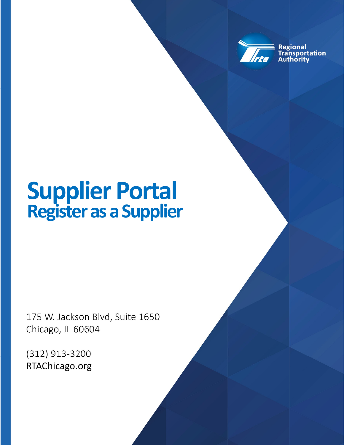

**Regional** ansportation uthoritv

# **Supplier Portal Register as a Supplier**

175 W. Jackson Blvd, Suite 1650 Chicago, IL 60604

(312) 913-3200 RTAChicago.org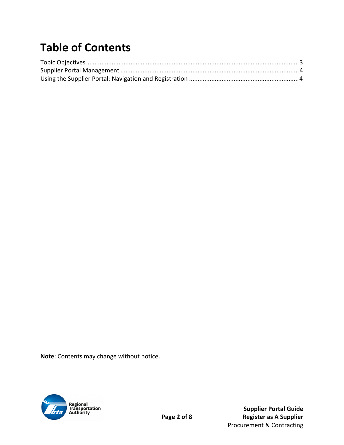## **Table of Contents**

**Note**: Contents may change without notice.



 **Supplier Portal Guide**  Page 2 of 8 **Register as A Supplier**  Procurement & Contracting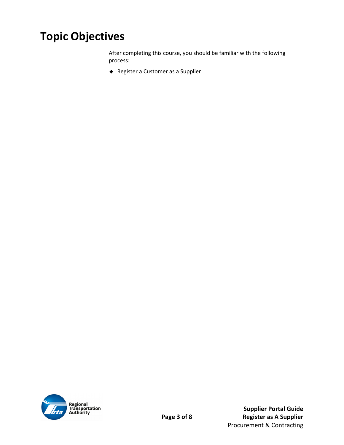### **Topic Objectives**

After completing this course, you should be familiar with the following process:

Register a Customer as a Supplier



 **Supplier Portal Guide**  Page 3 of 8 **Register as A Supplier**  Procurement & Contracting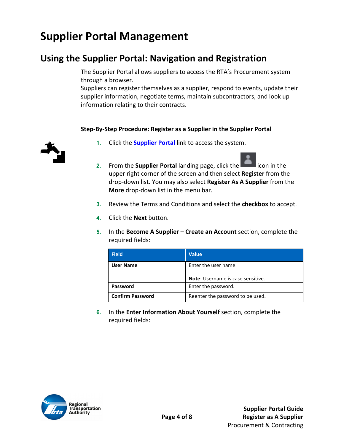### **Supplier Portal Management**

#### **Using the Supplier Portal: Navigation and Registration**

The Supplier Portal allows suppliers to access the RTA's Procurement system through a browser.

Suppliers can register themselves as a supplier, respond to events, update their supplier information, negotiate terms, maintain subcontractors, and look up information relating to their contracts.

#### **Step‐By‐Step Procedure: Register as a Supplier in the Supplier Portal**



- **1.** Click the **Supplier Portal** link to access the system.
- **2.** From the **Supplier Portal** landing page, click the **Edge of the interior** icon in the upper right corner of the screen and then select **Register** from the drop‐down list. You may also select **Register As A Supplier** from the **More** drop‐down list in the menu bar.
- **3.** Review the Terms and Conditions and select the **checkbox** to accept.
- **4.** Click the **Next** button.
- **5.** In the **Become A Supplier Create an Account** section, complete the required fields:

| <b>Field</b>            | <b>Value</b>                             |
|-------------------------|------------------------------------------|
| <b>User Name</b>        | Enter the user name.                     |
|                         | <b>Note:</b> Username is case sensitive. |
| Password                | Enter the password.                      |
| <b>Confirm Password</b> | Reenter the password to be used.         |

**6.** In the **Enter Information About Yourself** section, complete the required fields:

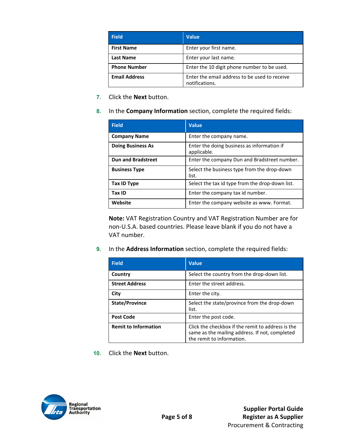| <b>Field</b>         | <b>Value</b>                                                    |
|----------------------|-----------------------------------------------------------------|
| <b>First Name</b>    | Enter your first name.                                          |
| <b>Last Name</b>     | Enter your last name.                                           |
| <b>Phone Number</b>  | Enter the 10 digit phone number to be used.                     |
| <b>Email Address</b> | Enter the email address to be used to receive<br>notifications. |

- **7.** Click the **Next** button.
- **8.** In the **Company Information** section, complete the required fields:

| <b>Field</b>              | <b>Value</b>                                              |
|---------------------------|-----------------------------------------------------------|
| <b>Company Name</b>       | Enter the company name.                                   |
| <b>Doing Business As</b>  | Enter the doing business as information if<br>applicable. |
| <b>Dun and Bradstreet</b> | Enter the company Dun and Bradstreet number.              |
| <b>Business Type</b>      | Select the business type from the drop-down<br>list.      |
| <b>Tax ID Type</b>        | Select the tax id type from the drop-down list.           |
| Tax ID                    | Enter the company tax id number.                          |
| Website                   | Enter the company website as www. Format.                 |

**Note:** VAT Registration Country and VAT Registration Number are for non‐U.S.A. based countries. Please leave blank if you do not have a VAT number.

**9.** In the **Address Information** section, complete the required fields:

| <b>Field</b>                | <b>Value</b>                                                                                                                     |
|-----------------------------|----------------------------------------------------------------------------------------------------------------------------------|
| Country                     | Select the country from the drop-down list.                                                                                      |
| <b>Street Address</b>       | Enter the street address.                                                                                                        |
| City                        | Enter the city.                                                                                                                  |
| <b>State/Province</b>       | Select the state/province from the drop-down<br>list.                                                                            |
| <b>Post Code</b>            | Enter the post code.                                                                                                             |
| <b>Remit to Information</b> | Click the checkbox if the remit to address is the<br>same as the mailing address. If not, completed<br>the remit to information. |

**10.** Click the **Next** button.

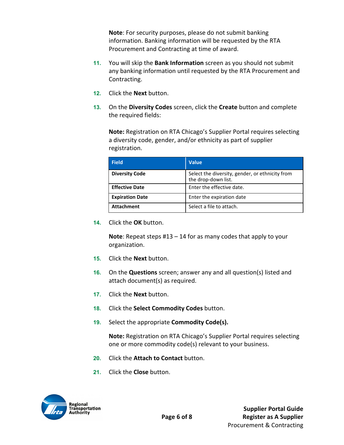**Note**: For security purposes, please do not submit banking information. Banking information will be requested by the RTA Procurement and Contracting at time of award.

- **11.** You will skip the **Bank Information** screen as you should not submit any banking information until requested by the RTA Procurement and Contracting.
- **12.** Click the **Next** button.
- **13.** On the **Diversity Codes** screen, click the **Create** button and complete the required fields:

**Note:** Registration on RTA Chicago's Supplier Portal requires selecting a diversity code, gender, and/or ethnicity as part of supplier registration.

| <b>Field</b>           | <b>Value</b>                                                           |
|------------------------|------------------------------------------------------------------------|
| <b>Diversity Code</b>  | Select the diversity, gender, or ethnicity from<br>the drop-down list. |
| <b>Effective Date</b>  | Enter the effective date.                                              |
| <b>Expiration Date</b> | Enter the expiration date                                              |
| <b>Attachment</b>      | Select a file to attach.                                               |

**14.** Click the **OK** button.

**Note**: Repeat steps #13 – 14 for as many codes that apply to your organization.

- **15.** Click the **Next** button.
- **16.** On the **Questions** screen; answer any and all question(s) listed and attach document(s) as required.
- **17.** Click the **Next** button.
- **18.** Click the **Select Commodity Codes** button.
- **19.** Select the appropriate **Commodity Code(s).**

**Note:** Registration on RTA Chicago's Supplier Portal requires selecting one or more commodity code(s) relevant to your business.

- **20.** Click the **Attach to Contact** button.
- **21.** Click the **Close** button.

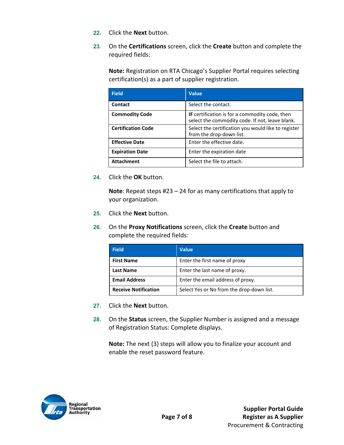- **22.** Click the **Next** button.
- **23.** On the **Certifications** screen, click the **Create** button and complete the required fields:

**Note:** Registration on RTA Chicago's Supplier Portal requires selecting certification(s) as a part of supplier registration.

| <b>Field</b>              | <b>Value</b>                                                                                             |
|---------------------------|----------------------------------------------------------------------------------------------------------|
| Contact                   | Select the contact.                                                                                      |
| <b>Commodity Code</b>     | <b>IF</b> certification is for a commodity code, then<br>select the commodity code. If not, leave blank. |
| <b>Certification Code</b> | Select the certification you would like to register<br>from the drop-down list.                          |
| <b>Effective Date</b>     | Enter the effective date.                                                                                |
| <b>Expiration Date</b>    | Enter the expiration date                                                                                |
| <b>Attachment</b>         | Select the file to attach.                                                                               |

**24.** Click the **OK** button.

**Note**: Repeat steps #23 – 24 for as many certifications that apply to your organization.

- **25.** Click the **Next** button.
- **26.** On the **Proxy Notifications** screen, click the **Create** button and complete the required fields:

| <b>Field</b>                | <b>Value</b>                              |
|-----------------------------|-------------------------------------------|
| <b>First Name</b>           | Enter the first name of proxy             |
| <b>Last Name</b>            | Enter the last name of proxy.             |
| <b>Email Address</b>        | Enter the email address of proxy.         |
| <b>Receive Notification</b> | Select Yes or No from the drop-down list. |

- **27.** Click the **Next** button.
- **28.** On the **Status** screen, the Supplier Number is assigned and a message of Registration Status: Complete displays.

**Note:** The next (3) steps will allow you to finalize your account and enable the reset password feature.